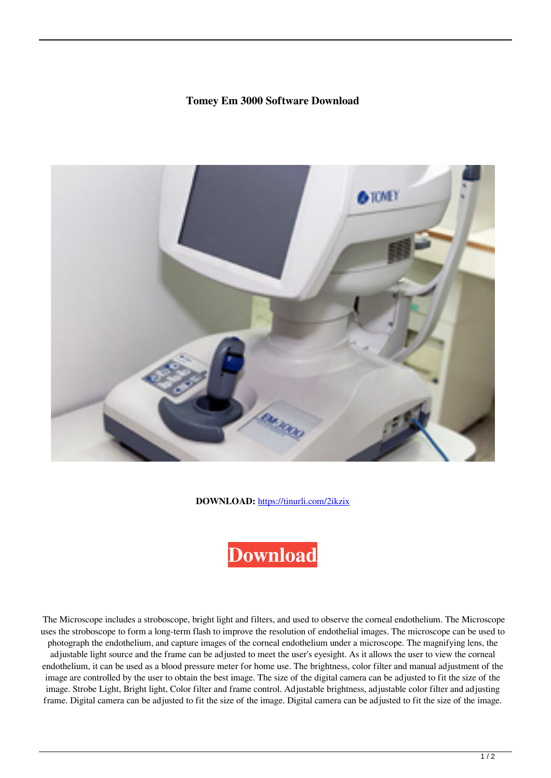## **Tomey Em 3000 Software Download**



**DOWNLOAD:** <https://tinurli.com/2ikzix>



 The Microscope includes a stroboscope, bright light and filters, and used to observe the corneal endothelium. The Microscope uses the stroboscope to form a long-term flash to improve the resolution of endothelial images. The microscope can be used to photograph the endothelium, and capture images of the corneal endothelium under a microscope. The magnifying lens, the adjustable light source and the frame can be adjusted to meet the user's eyesight. As it allows the user to view the corneal endothelium, it can be used as a blood pressure meter for home use. The brightness, color filter and manual adjustment of the image are controlled by the user to obtain the best image. The size of the digital camera can be adjusted to fit the size of the image. Strobe Light, Bright light, Color filter and frame control. Adjustable brightness, adjustable color filter and adjusting frame. Digital camera can be adjusted to fit the size of the image. Digital camera can be adjusted to fit the size of the image.